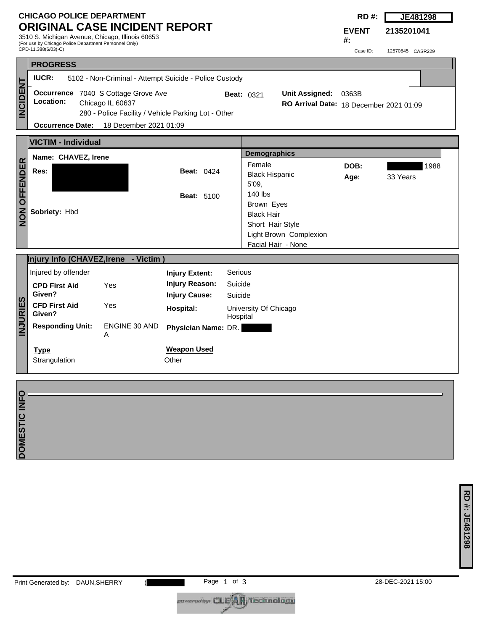## **CHICAGO POLICE DEPARTMENT ORIGINAL CASE INCIDENT REPORT**

3510 S. Michigan Avenue, Chicago, Illinois 60653 (For use by Chicago Police Department Personnel Only) CPD-11.388(6/03)-C)

**RD #: JE481298**

**2135201041**

**EVENT #:**

Case ID: 12570845 CASR229

|                     |                                                                                                                             |                                      |                                                                        |                               |                                                                                                                | ∪as <del>c</del> iD. | IZUIUUTU LADRZZY |  |  |  |
|---------------------|-----------------------------------------------------------------------------------------------------------------------------|--------------------------------------|------------------------------------------------------------------------|-------------------------------|----------------------------------------------------------------------------------------------------------------|----------------------|------------------|--|--|--|
|                     | <b>PROGRESS</b>                                                                                                             |                                      |                                                                        |                               |                                                                                                                |                      |                  |  |  |  |
|                     | <b>IUCR:</b><br>5102 - Non-Criminal - Attempt Suicide - Police Custody                                                      |                                      |                                                                        |                               |                                                                                                                |                      |                  |  |  |  |
| <b>INCIDENT</b>     | Occurrence 7040 S Cottage Grove Ave<br>Location:<br>Chicago IL 60637<br>280 - Police Facility / Vehicle Parking Lot - Other |                                      |                                                                        | <b>Beat: 0321</b>             | Unit Assigned: 0363B<br>RO Arrival Date: 18 December 2021 01:09                                                |                      |                  |  |  |  |
|                     | <b>Occurrence Date:</b>                                                                                                     | 18 December 2021 01:09               |                                                                        |                               |                                                                                                                |                      |                  |  |  |  |
|                     | <b>VICTIM - Individual</b>                                                                                                  |                                      |                                                                        |                               |                                                                                                                |                      |                  |  |  |  |
|                     | Name: CHAVEZ, Irene                                                                                                         |                                      |                                                                        |                               | <b>Demographics</b>                                                                                            |                      |                  |  |  |  |
| <b>NON OFFENDER</b> | Res:                                                                                                                        |                                      | <b>Beat: 0424</b>                                                      | 5'09.                         | Female<br><b>Black Hispanic</b>                                                                                |                      | 1988<br>33 Years |  |  |  |
|                     | Sobriety: Hbd                                                                                                               |                                      | <b>Beat: 5100</b>                                                      |                               | 140 lbs<br>Brown Eyes<br><b>Black Hair</b><br>Short Hair Style<br>Light Brown Complexion<br>Facial Hair - None |                      |                  |  |  |  |
|                     |                                                                                                                             | Injury Info (CHAVEZ, Irene - Victim) |                                                                        |                               |                                                                                                                |                      |                  |  |  |  |
|                     | Injured by offender<br>Yes<br><b>CPD First Aid</b><br>Given?                                                                |                                      | <b>Injury Extent:</b><br><b>Injury Reason:</b><br><b>Injury Cause:</b> | Serious<br>Suicide<br>Suicide |                                                                                                                |                      |                  |  |  |  |
| <b>INJURIES</b>     | <b>CFD First Aid</b><br>Given?                                                                                              | Yes                                  | <b>Hospital:</b>                                                       | Hospital                      | University Of Chicago                                                                                          |                      |                  |  |  |  |
|                     | <b>Responding Unit:</b>                                                                                                     | ENGINE 30 AND<br>A                   | Physician Name: DR.                                                    |                               |                                                                                                                |                      |                  |  |  |  |
|                     | <b>Weapon Used</b><br><b>Type</b><br>Other<br>Strangulation                                                                 |                                      |                                                                        |                               |                                                                                                                |                      |                  |  |  |  |
|                     |                                                                                                                             |                                      |                                                                        |                               |                                                                                                                |                      |                  |  |  |  |
| DOMESTIC INFO       |                                                                                                                             |                                      |                                                                        |                               |                                                                                                                |                      |                  |  |  |  |
|                     |                                                                                                                             |                                      |                                                                        |                               |                                                                                                                |                      |                  |  |  |  |
|                     |                                                                                                                             |                                      |                                                                        |                               |                                                                                                                |                      |                  |  |  |  |
|                     |                                                                                                                             |                                      |                                                                        |                               |                                                                                                                |                      |                  |  |  |  |
|                     |                                                                                                                             |                                      |                                                                        |                               |                                                                                                                |                      |                  |  |  |  |

coveradby CLE<sup>4</sup>AR Technology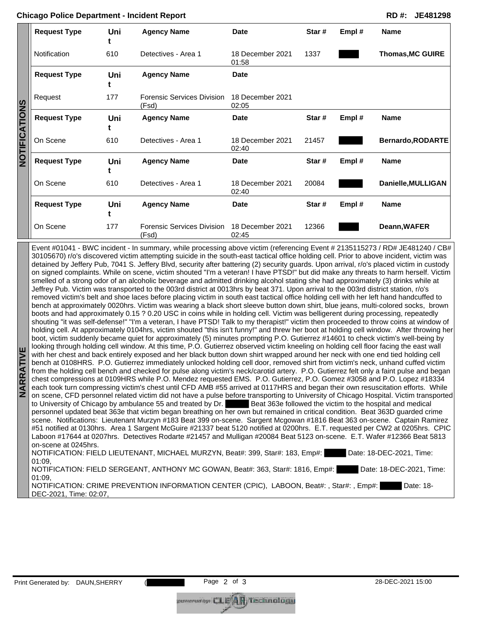|                                   | <b>Request Type</b> | Uni | <b>Agency Name</b>                  | Date                      | Star# | Empl# | <b>Name</b>             |
|-----------------------------------|---------------------|-----|-------------------------------------|---------------------------|-------|-------|-------------------------|
| <u>ong</u><br>iCA<br>-<br>5<br>No | Notification        | 610 | Detectives - Area 1                 | 18 December 2021<br>01:58 | 1337  |       | <b>Thomas, MC GUIRE</b> |
|                                   | <b>Request Type</b> | Uni | <b>Agency Name</b>                  | <b>Date</b>               |       |       |                         |
|                                   | Request             | 177 | Forensic Services Division<br>(Fsd) | 18 December 2021<br>02:05 |       |       |                         |
|                                   | <b>Request Type</b> | Uni | <b>Agency Name</b>                  | Date                      | Star# | Empl# | <b>Name</b>             |
|                                   | On Scene            | 610 | Detectives - Area 1                 | 18 December 2021<br>02:40 | 21457 |       | Bernardo, RODARTE       |
|                                   | <b>Request Type</b> | Uni | <b>Agency Name</b>                  | <b>Date</b>               | Star# | Empl# | <b>Name</b>             |
|                                   | On Scene            | 610 | Detectives - Area 1                 | 18 December 2021<br>02:40 | 20084 |       | Danielle, MULLIGAN      |
|                                   | <b>Request Type</b> | Uni | <b>Agency Name</b>                  | Date                      | Star# | Empl# | <b>Name</b>             |
|                                   | On Scene            | 177 | Forensic Services Division<br>(Fsd) | 18 December 2021<br>02:45 | 12366 |       | Deann, WAFER            |

**NARRATIVE**  Event #01041 - BWC incident - In summary, while processing above victim (referencing Event # 2135115273 / RD# JE481240 / CB# 30105670) r/o's discovered victim attempting suicide in the south-east tactical office holding cell. Prior to above incident, victim was detained by Jeffery Pub, 7041 S. Jeffery Blvd, security after battering (2) security guards. Upon arrival, r/o's placed victim in custody on signed complaints. While on scene, victim shouted "I'm a veteran! I have PTSD!" but did make any threats to harm herself. Victim smelled of a strong odor of an alcoholic beverage and admitted drinking alcohol stating she had approximately (3) drinks while at Jeffrey Pub. Victim was transported to the 003rd district at 0013hrs by beat 371. Upon arrival to the 003rd district station, r/o's removed victim's belt and shoe laces before placing victim in south east tactical office holding cell with her left hand handcuffed to bench at approximately 0020hrs. Victim was wearing a black short sleeve button down shirt, blue jeans, multi-colored socks, brown boots and had approximately 0.15 ? 0.20 USC in coins while in holding cell. Victim was belligerent during processing, repeatedly shouting "it was self-defense!" "I'm a veteran, I have PTSD! Talk to my therapist!" victim then proceeded to throw coins at window of holding cell. At approximately 0104hrs, victim shouted "this isn't funny!" and threw her boot at holding cell window. After throwing her boot, victim suddenly became quiet for approximately (5) minutes prompting P.O. Gutierrez #14601 to check victim's well-being by looking through holding cell window. At this time, P.O. Gutierrez observed victim kneeling on holding cell floor facing the east wall with her chest and back entirely exposed and her black button down shirt wrapped around her neck with one end tied holding cell bench at 0108HRS. P.O. Gutierrez immediately unlocked holding cell door, removed shirt from victim's neck, unhand cuffed victim from the holding cell bench and checked for pulse along victim's neck/carotid artery. P.O. Gutierrez felt only a faint pulse and began chest compressions at 0109HRS while P.O. Mendez requested EMS. P.O. Gutierrez, P.O. Gomez #3058 and P.O. Lopez #18334 each took turn compressing victim's chest until CFD AMB #55 arrived at 0117HRS and began their own resuscitation efforts. While on scene, CFD personnel related victim did not have a pulse before transporting to University of Chicago Hospital. Victim transported to University of Chicago by ambulance 55 and treated by Dr. Beat 363e followed the victim to the hospital and medical personnel updated beat 363e that victim began breathing on her own but remained in critical condition. Beat 363D guarded crime scene. Notifications: Lieutenant Murzyn #183 Beat 399 on-scene. Sargent Mcgowan #1816 Beat 363 on-scene. Captain Ramirez #51 notified at 0130hrs. Area 1 Sargent McGuire #21337 beat 5120 notified at 0200hrs. E.T. requested per CW2 at 0205hrs. CPIC Laboon #17644 at 0207hrs. Detectives Rodarte #21457 and Mulligan #20084 Beat 5123 on-scene. E.T. Wafer #12366 Beat 5813 on-scene at 0245hrs. NOTIFICATION: FIELD LIEUTENANT, MICHAEL MURZYN, Beat#: 399, Star#: 183, Emp#: Date: 18-DEC-2021, Time: 01:09,

NOTIFICATION: FIELD SERGEANT, ANTHONY MC GOWAN, Beat#: 363, Star#: 1816, Emp#: Date: 18-DEC-2021, Time: 01:09,

NOTIFICATION: CRIME PREVENTION INFORMATION CENTER (CPIC), LABOON, Beat#: , Star#: , Emp#: Date: 18-DEC-2021, Time: 02:07,